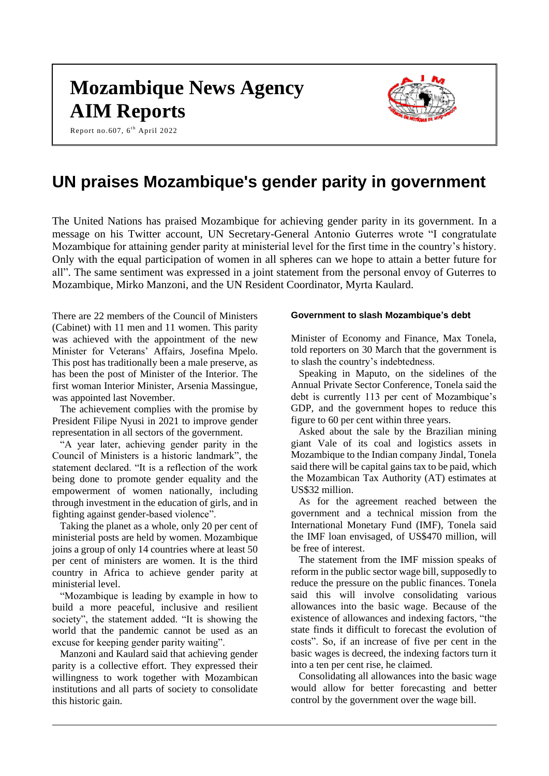# **Mozambique News Agency AIM Reports**



Report no.607, 6<sup>th</sup> April 2022

# **UN praises Mozambique's gender parity in government**

The United Nations has praised Mozambique for achieving gender parity in its government. In a message on his Twitter account, UN Secretary-General Antonio Guterres wrote "I congratulate Mozambique for attaining gender parity at ministerial level for the first time in the country's history. Only with the equal participation of women in all spheres can we hope to attain a better future for all". The same sentiment was expressed in a joint statement from the personal envoy of Guterres to Mozambique, Mirko Manzoni, and the UN Resident Coordinator, Myrta Kaulard.

There are 22 members of the Council of Ministers (Cabinet) with 11 men and 11 women. This parity was achieved with the appointment of the new Minister for Veterans' Affairs, Josefina Mpelo. This post has traditionally been a male preserve, as has been the post of Minister of the Interior. The first woman Interior Minister, Arsenia Massingue, was appointed last November.

The achievement complies with the promise by President Filipe Nyusi in 2021 to improve gender representation in all sectors of the government.

"A year later, achieving gender parity in the Council of Ministers is a historic landmark", the statement declared. "It is a reflection of the work being done to promote gender equality and the empowerment of women nationally, including through investment in the education of girls, and in fighting against gender-based violence".

Taking the planet as a whole, only 20 per cent of ministerial posts are held by women. Mozambique joins a group of only 14 countries where at least 50 per cent of ministers are women. It is the third country in Africa to achieve gender parity at ministerial level.

"Mozambique is leading by example in how to build a more peaceful, inclusive and resilient society", the statement added. "It is showing the world that the pandemic cannot be used as an excuse for keeping gender parity waiting".

Manzoni and Kaulard said that achieving gender parity is a collective effort. They expressed their willingness to work together with Mozambican institutions and all parts of society to consolidate this historic gain.

#### **Government to slash Mozambique's debt**

Minister of Economy and Finance, Max Tonela, told reporters on 30 March that the government is to slash the country's indebtedness.

Speaking in Maputo, on the sidelines of the Annual Private Sector Conference, Tonela said the debt is currently 113 per cent of Mozambique's GDP, and the government hopes to reduce this figure to 60 per cent within three years.

Asked about the sale by the Brazilian mining giant Vale of its coal and logistics assets in Mozambique to the Indian company Jindal, Tonela said there will be capital gains tax to be paid, which the Mozambican Tax Authority (AT) estimates at US\$32 million.

As for the agreement reached between the government and a technical mission from the International Monetary Fund (IMF), Tonela said the IMF loan envisaged, of US\$470 million, will be free of interest.

The statement from the IMF mission speaks of reform in the public sector wage bill, supposedly to reduce the pressure on the public finances. Tonela said this will involve consolidating various allowances into the basic wage. Because of the existence of allowances and indexing factors, "the state finds it difficult to forecast the evolution of costs". So, if an increase of five per cent in the basic wages is decreed, the indexing factors turn it into a ten per cent rise, he claimed.

Consolidating all allowances into the basic wage would allow for better forecasting and better control by the government over the wage bill.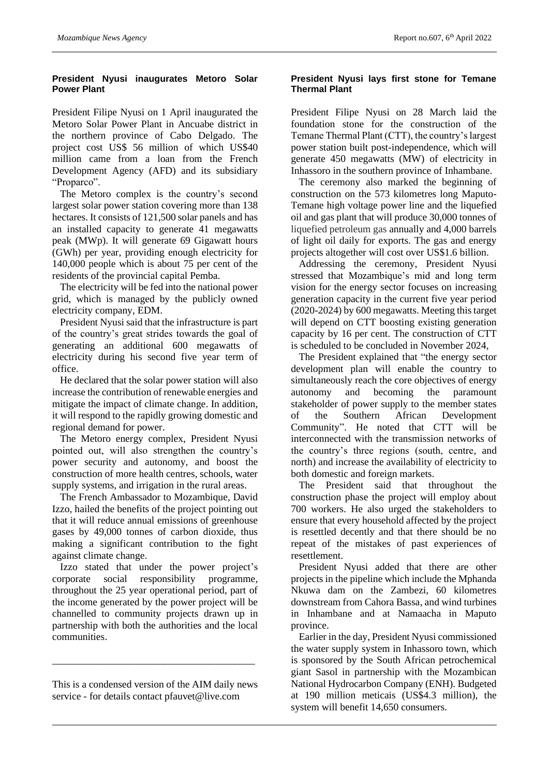#### **President Nyusi inaugurates Metoro Solar Power Plant**

President Filipe Nyusi on 1 April inaugurated the Metoro Solar Power Plant in Ancuabe district in the northern province of Cabo Delgado. The project cost US\$ 56 million of which US\$40 million came from a loan from the French Development Agency (AFD) and its subsidiary "Proparco".

The Metoro complex is the country's second largest solar power station covering more than 138 hectares. It consists of 121,500 solar panels and has an installed capacity to generate 41 megawatts peak (MWp). It will generate 69 Gigawatt hours (GWh) per year, providing enough electricity for 140,000 people which is about 75 per cent of the residents of the provincial capital Pemba.

The electricity will be fed into the national power grid, which is managed by the publicly owned electricity company, EDM.

President Nyusi said that the infrastructure is part of the country's great strides towards the goal of generating an additional 600 megawatts of electricity during his second five year term of office.

He declared that the solar power station will also increase the contribution of renewable energies and mitigate the impact of climate change. In addition, it will respond to the rapidly growing domestic and regional demand for power.

The Metoro energy complex, President Nyusi pointed out, will also strengthen the country's power security and autonomy, and boost the construction of more health centres, schools, water supply systems, and irrigation in the rural areas.

The French Ambassador to Mozambique, David Izzo, hailed the benefits of the project pointing out that it will reduce annual emissions of greenhouse gases by 49,000 tonnes of carbon dioxide, thus making a significant contribution to the fight against climate change.

Izzo stated that under the power project's corporate social responsibility programme, throughout the 25 year operational period, part of the income generated by the power project will be channelled to community projects drawn up in partnership with both the authorities and the local communities.

This is a condensed version of the AIM daily news service - for details contact pfauvet@live.com

\_\_\_\_\_\_\_\_\_\_\_\_\_\_\_\_\_\_\_\_\_\_\_\_\_\_\_\_\_\_\_\_\_\_\_\_\_\_\_\_

#### **President Nyusi lays first stone for Temane Thermal Plant**

President Filipe Nyusi on 28 March laid the foundation stone for the construction of the Temane Thermal Plant (CTT), the country's largest power station built post-independence, which will generate 450 megawatts (MW) of electricity in Inhassoro in the southern province of Inhambane.

The ceremony also marked the beginning of construction on the 573 kilometres long Maputo-Temane high voltage power line and the liquefied oil and gas plant that will produce 30,000 tonnes of liquefied petroleum gas annually and 4,000 barrels of light oil daily for exports. The gas and energy projects altogether will cost over US\$1.6 billion.

Addressing the ceremony, President Nyusi stressed that Mozambique's mid and long term vision for the energy sector focuses on increasing generation capacity in the current five year period (2020-2024) by 600 megawatts. Meeting this target will depend on CTT boosting existing generation capacity by 16 per cent. The construction of CTT is scheduled to be concluded in November 2024,

The President explained that "the energy sector development plan will enable the country to simultaneously reach the core objectives of energy autonomy and becoming the paramount stakeholder of power supply to the member states of the Southern African Development Community". He noted that CTT will be interconnected with the transmission networks of the country's three regions (south, centre, and north) and increase the availability of electricity to both domestic and foreign markets.

The President said that throughout the construction phase the project will employ about 700 workers. He also urged the stakeholders to ensure that every household affected by the project is resettled decently and that there should be no repeat of the mistakes of past experiences of resettlement.

President Nyusi added that there are other projects in the pipeline which include the Mphanda Nkuwa dam on the Zambezi, 60 kilometres downstream from Cahora Bassa, and wind turbines in Inhambane and at Namaacha in Maputo province.

Earlier in the day, President Nyusi commissioned the water supply system in Inhassoro town, which is sponsored by the South African petrochemical giant Sasol in partnership with the Mozambican National Hydrocarbon Company (ENH). Budgeted at 190 million meticais (US\$4.3 million), the system will benefit 14,650 consumers.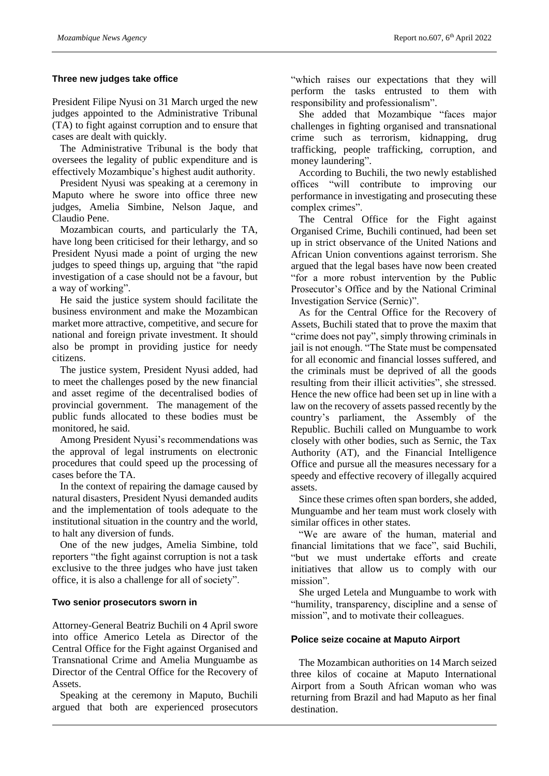#### **Three new judges take office**

President Filipe Nyusi on 31 March urged the new judges appointed to the Administrative Tribunal (TA) to fight against corruption and to ensure that cases are dealt with quickly.

The Administrative Tribunal is the body that oversees the legality of public expenditure and is effectively Mozambique's highest audit authority.

President Nyusi was speaking at a ceremony in Maputo where he swore into office three new judges, Amelia Simbine, Nelson Jaque, and Claudio Pene.

Mozambican courts, and particularly the TA, have long been criticised for their lethargy, and so President Nyusi made a point of urging the new judges to speed things up, arguing that "the rapid investigation of a case should not be a favour, but a way of working".

He said the justice system should facilitate the business environment and make the Mozambican market more attractive, competitive, and secure for national and foreign private investment. It should also be prompt in providing justice for needy citizens.

The justice system, President Nyusi added, had to meet the challenges posed by the new financial and asset regime of the decentralised bodies of provincial government. The management of the public funds allocated to these bodies must be monitored, he said.

Among President Nyusi's recommendations was the approval of legal instruments on electronic procedures that could speed up the processing of cases before the TA.

In the context of repairing the damage caused by natural disasters, President Nyusi demanded audits and the implementation of tools adequate to the institutional situation in the country and the world, to halt any diversion of funds.

One of the new judges, Amelia Simbine, told reporters "the fight against corruption is not a task exclusive to the three judges who have just taken office, it is also a challenge for all of society".

#### **Two senior prosecutors sworn in**

Attorney-General Beatriz Buchili on 4 April swore into office Americo Letela as Director of the Central Office for the Fight against Organised and Transnational Crime and Amelia Munguambe as Director of the Central Office for the Recovery of Assets.

Speaking at the ceremony in Maputo, Buchili argued that both are experienced prosecutors

"which raises our expectations that they will perform the tasks entrusted to them with responsibility and professionalism".

She added that Mozambique "faces major challenges in fighting organised and transnational crime such as terrorism, kidnapping, drug trafficking, people trafficking, corruption, and money laundering".

According to Buchili, the two newly established offices "will contribute to improving our performance in investigating and prosecuting these complex crimes".

The Central Office for the Fight against Organised Crime, Buchili continued, had been set up in strict observance of the United Nations and African Union conventions against terrorism. She argued that the legal bases have now been created "for a more robust intervention by the Public Prosecutor's Office and by the National Criminal Investigation Service (Sernic)".

As for the Central Office for the Recovery of Assets, Buchili stated that to prove the maxim that "crime does not pay", simply throwing criminals in jail is not enough. "The State must be compensated for all economic and financial losses suffered, and the criminals must be deprived of all the goods resulting from their illicit activities", she stressed. Hence the new office had been set up in line with a law on the recovery of assets passed recently by the country's parliament, the Assembly of the Republic. Buchili called on Munguambe to work closely with other bodies, such as Sernic, the Tax Authority (AT), and the Financial Intelligence Office and pursue all the measures necessary for a speedy and effective recovery of illegally acquired assets.

Since these crimes often span borders, she added, Munguambe and her team must work closely with similar offices in other states.

"We are aware of the human, material and financial limitations that we face", said Buchili, "but we must undertake efforts and create initiatives that allow us to comply with our mission".

She urged Letela and Munguambe to work with "humility, transparency, discipline and a sense of mission", and to motivate their colleagues.

# **Police seize cocaine at Maputo Airport**

The Mozambican authorities on 14 March seized three kilos of cocaine at Maputo International Airport from a South African woman who was returning from Brazil and had Maputo as her final destination.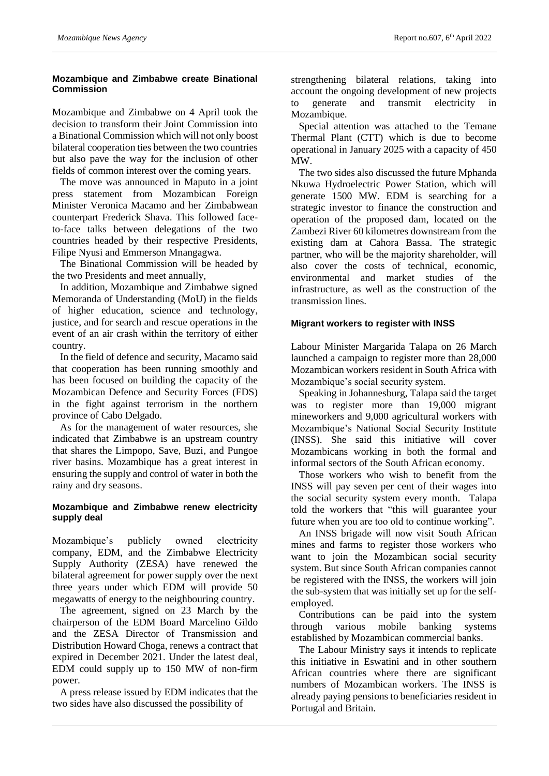### **Mozambique and Zimbabwe create Binational Commission**

Mozambique and Zimbabwe on 4 April took the decision to transform their Joint Commission into a Binational Commission which will not only boost bilateral cooperation ties between the two countries but also pave the way for the inclusion of other fields of common interest over the coming years.

The move was announced in Maputo in a joint press statement from Mozambican Foreign Minister Veronica Macamo and her Zimbabwean counterpart Frederick Shava. This followed faceto-face talks between delegations of the two countries headed by their respective Presidents, Filipe Nyusi and Emmerson Mnangagwa.

The Binational Commission will be headed by the two Presidents and meet annually,

In addition, Mozambique and Zimbabwe signed Memoranda of Understanding (MoU) in the fields of higher education, science and technology, justice, and for search and rescue operations in the event of an air crash within the territory of either country.

In the field of defence and security, Macamo said that cooperation has been running smoothly and has been focused on building the capacity of the Mozambican Defence and Security Forces (FDS) in the fight against terrorism in the northern province of Cabo Delgado.

As for the management of water resources, she indicated that Zimbabwe is an upstream country that shares the Limpopo, Save, Buzi, and Pungoe river basins. Mozambique has a great interest in ensuring the supply and control of water in both the rainy and dry seasons.

#### **Mozambique and Zimbabwe renew electricity supply deal**

Mozambique's publicly owned electricity company, EDM, and the Zimbabwe Electricity Supply Authority (ZESA) have renewed the bilateral agreement for power supply over the next three years under which EDM will provide 50 megawatts of energy to the neighbouring country.

The agreement, signed on 23 March by the chairperson of the EDM Board Marcelino Gildo and the ZESA Director of Transmission and Distribution Howard Choga, renews a contract that expired in December 2021. Under the latest deal, EDM could supply up to 150 MW of non-firm power.

A press release issued by EDM indicates that the two sides have also discussed the possibility of

strengthening bilateral relations, taking into account the ongoing development of new projects to generate and transmit electricity in Mozambique.

Special attention was attached to the Temane Thermal Plant (CTT) which is due to become operational in January 2025 with a capacity of 450 MW.

The two sides also discussed the future Mphanda Nkuwa Hydroelectric Power Station, which will generate 1500 MW. EDM is searching for a strategic investor to finance the construction and operation of the proposed dam, located on the Zambezi River 60 kilometres downstream from the existing dam at Cahora Bassa. The strategic partner, who will be the majority shareholder, will also cover the costs of technical, economic, environmental and market studies of the infrastructure, as well as the construction of the transmission lines.

# **Migrant workers to register with INSS**

Labour Minister Margarida Talapa on 26 March launched a campaign to register more than 28,000 Mozambican workers resident in South Africa with Mozambique's social security system.

Speaking in Johannesburg, Talapa said the target was to register more than 19,000 migrant mineworkers and 9,000 agricultural workers with Mozambique's National Social Security Institute (INSS). She said this initiative will cover Mozambicans working in both the formal and informal sectors of the South African economy.

Those workers who wish to benefit from the INSS will pay seven per cent of their wages into the social security system every month. Talapa told the workers that "this will guarantee your future when you are too old to continue working".

An INSS brigade will now visit South African mines and farms to register those workers who want to join the Mozambican social security system. But since South African companies cannot be registered with the INSS, the workers will join the sub-system that was initially set up for the selfemployed.

Contributions can be paid into the system through various mobile banking systems established by Mozambican commercial banks.

The Labour Ministry says it intends to replicate this initiative in Eswatini and in other southern African countries where there are significant numbers of Mozambican workers. The INSS is already paying pensions to beneficiaries resident in Portugal and Britain.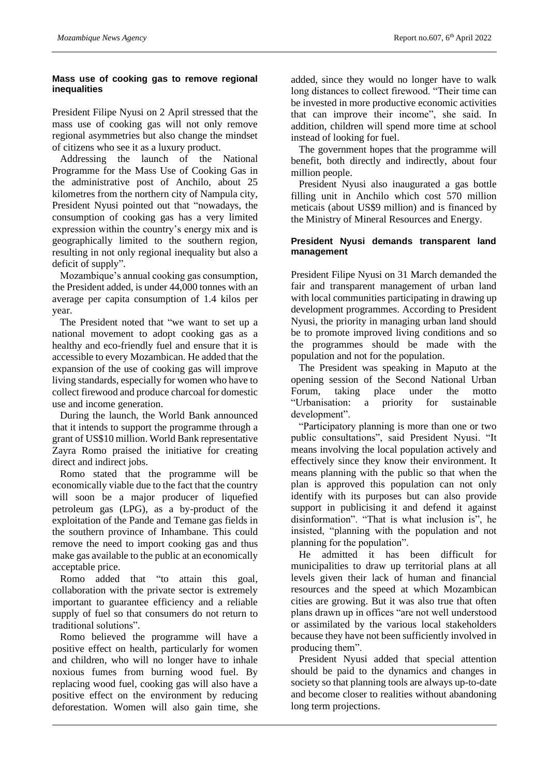#### **Mass use of cooking gas to remove regional inequalities**

President Filipe Nyusi on 2 April stressed that the mass use of cooking gas will not only remove regional asymmetries but also change the mindset of citizens who see it as a luxury product.

Addressing the launch of the National Programme for the Mass Use of Cooking Gas in the administrative post of Anchilo, about 25 kilometres from the northern city of Nampula city, President Nyusi pointed out that "nowadays, the consumption of cooking gas has a very limited expression within the country's energy mix and is geographically limited to the southern region, resulting in not only regional inequality but also a deficit of supply".

Mozambique's annual cooking gas consumption, the President added, is under 44,000 tonnes with an average per capita consumption of 1.4 kilos per year.

The President noted that "we want to set up a national movement to adopt cooking gas as a healthy and eco-friendly fuel and ensure that it is accessible to every Mozambican. He added that the expansion of the use of cooking gas will improve living standards, especially for women who have to collect firewood and produce charcoal for domestic use and income generation.

During the launch, the World Bank announced that it intends to support the programme through a grant of US\$10 million. World Bank representative Zayra Romo praised the initiative for creating direct and indirect jobs.

Romo stated that the programme will be economically viable due to the fact that the country will soon be a major producer of liquefied petroleum gas (LPG), as a by-product of the exploitation of the Pande and Temane gas fields in the southern province of Inhambane. This could remove the need to import cooking gas and thus make gas available to the public at an economically acceptable price.

Romo added that "to attain this goal, collaboration with the private sector is extremely important to guarantee efficiency and a reliable supply of fuel so that consumers do not return to traditional solutions".

Romo believed the programme will have a positive effect on health, particularly for women and children, who will no longer have to inhale noxious fumes from burning wood fuel. By replacing wood fuel, cooking gas will also have a positive effect on the environment by reducing deforestation. Women will also gain time, she

added, since they would no longer have to walk long distances to collect firewood. "Their time can be invested in more productive economic activities that can improve their income", she said. In addition, children will spend more time at school instead of looking for fuel.

The government hopes that the programme will benefit, both directly and indirectly, about four million people.

President Nyusi also inaugurated a gas bottle filling unit in Anchilo which cost 570 million meticais (about US\$9 million) and is financed by the Ministry of Mineral Resources and Energy.

#### **President Nyusi demands transparent land management**

President Filipe Nyusi on 31 March demanded the fair and transparent management of urban land with local communities participating in drawing up development programmes. According to President Nyusi, the priority in managing urban land should be to promote improved living conditions and so the programmes should be made with the population and not for the population.

The President was speaking in Maputo at the opening session of the Second National Urban Forum, taking place under the motto "Urbanisation: a priority for sustainable development".

"Participatory planning is more than one or two public consultations", said President Nyusi. "It means involving the local population actively and effectively since they know their environment. It means planning with the public so that when the plan is approved this population can not only identify with its purposes but can also provide support in publicising it and defend it against disinformation". "That is what inclusion is", he insisted, "planning with the population and not planning for the population".

He admitted it has been difficult for municipalities to draw up territorial plans at all levels given their lack of human and financial resources and the speed at which Mozambican cities are growing. But it was also true that often plans drawn up in offices "are not well understood or assimilated by the various local stakeholders because they have not been sufficiently involved in producing them".

President Nyusi added that special attention should be paid to the dynamics and changes in society so that planning tools are always up-to-date and become closer to realities without abandoning long term projections.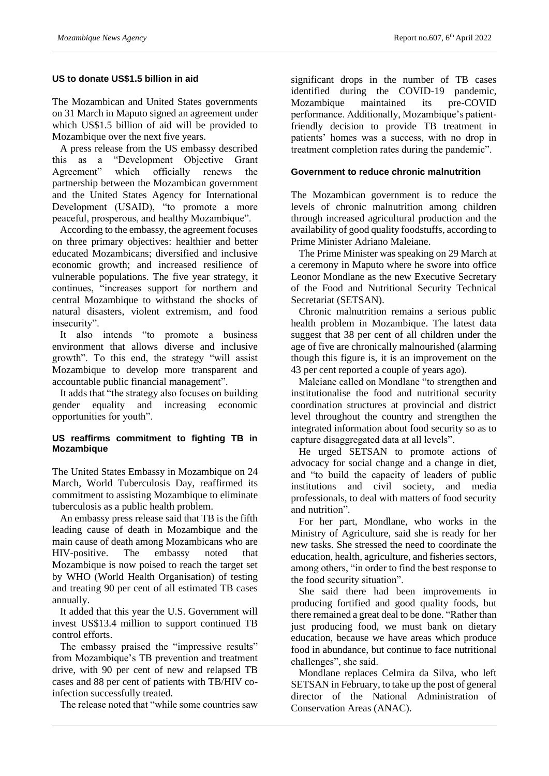#### **US to donate US\$1.5 billion in aid**

The Mozambican and United States governments on 31 March in Maputo signed an agreement under which US\$1.5 billion of aid will be provided to Mozambique over the next five years.

A press release from the US embassy described this as a "Development Objective Grant Agreement" which officially renews the partnership between the Mozambican government and the United States Agency for International Development (USAID), "to promote a more peaceful, prosperous, and healthy Mozambique".

According to the embassy, the agreement focuses on three primary objectives: healthier and better educated Mozambicans; diversified and inclusive economic growth; and increased resilience of vulnerable populations. The five year strategy, it continues, "increases support for northern and central Mozambique to withstand the shocks of natural disasters, violent extremism, and food insecurity".

It also intends "to promote a business environment that allows diverse and inclusive growth". To this end, the strategy "will assist Mozambique to develop more transparent and accountable public financial management".

It adds that "the strategy also focuses on building gender equality and increasing economic opportunities for youth".

#### **US reaffirms commitment to fighting TB in Mozambique**

The United States Embassy in Mozambique on 24 March, World Tuberculosis Day, reaffirmed its commitment to assisting Mozambique to eliminate tuberculosis as a public health problem.

An embassy press release said that TB is the fifth leading cause of death in Mozambique and the main cause of death among Mozambicans who are HIV-positive. The embassy noted that Mozambique is now poised to reach the target set by WHO (World Health Organisation) of testing and treating 90 per cent of all estimated TB cases annually.

It added that this year the U.S. Government will invest US\$13.4 million to support continued TB control efforts.

The embassy praised the "impressive results" from Mozambique's TB prevention and treatment drive, with 90 per cent of new and relapsed TB cases and 88 per cent of patients with TB/HIV coinfection successfully treated.

The release noted that "while some countries saw

significant drops in the number of TB cases identified during the COVID-19 pandemic, Mozambique maintained its pre-COVID performance. Additionally, Mozambique's patientfriendly decision to provide TB treatment in patients' homes was a success, with no drop in treatment completion rates during the pandemic".

### **Government to reduce chronic malnutrition**

The Mozambican government is to reduce the levels of chronic malnutrition among children through increased agricultural production and the availability of good quality foodstuffs, according to Prime Minister Adriano Maleiane.

The Prime Minister was speaking on 29 March at a ceremony in Maputo where he swore into office Leonor Mondlane as the new Executive Secretary of the Food and Nutritional Security Technical Secretariat (SETSAN).

Chronic malnutrition remains a serious public health problem in Mozambique. The latest data suggest that 38 per cent of all children under the age of five are chronically malnourished (alarming though this figure is, it is an improvement on the 43 per cent reported a couple of years ago).

Maleiane called on Mondlane "to strengthen and institutionalise the food and nutritional security coordination structures at provincial and district level throughout the country and strengthen the integrated information about food security so as to capture disaggregated data at all levels".

He urged SETSAN to promote actions of advocacy for social change and a change in diet, and "to build the capacity of leaders of public institutions and civil society, and media professionals, to deal with matters of food security and nutrition".

For her part, Mondlane, who works in the Ministry of Agriculture, said she is ready for her new tasks. She stressed the need to coordinate the education, health, agriculture, and fisheries sectors, among others, "in order to find the best response to the food security situation".

She said there had been improvements in producing fortified and good quality foods, but there remained a great deal to be done. "Rather than just producing food, we must bank on dietary education, because we have areas which produce food in abundance, but continue to face nutritional challenges", she said.

Mondlane replaces Celmira da Silva, who left SETSAN in February, to take up the post of general director of the National Administration of Conservation Areas (ANAC).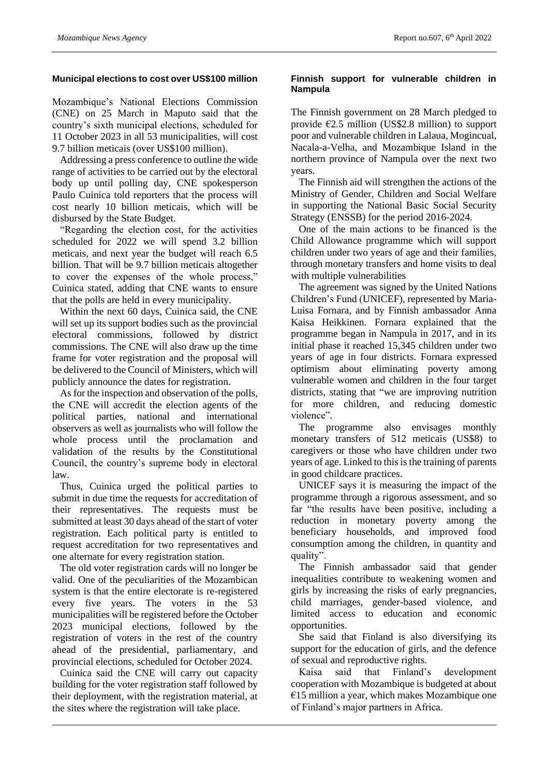#### **Municipal elections to cost over US\$100 million**

Mozambique's National Elections Commission (CNE) on 25 March in Maputo said that the country's sixth municipal elections, scheduled for 11 October 2023 in all 53 municipalities, will cost 9.7 billion meticais (over US\$100 million).

Addressing a press conference to outline the wide range of activities to be carried out by the electoral body up until polling day, CNE spokesperson Paulo Cuinica told reporters that the process will cost nearly 10 billion meticais, which will be disbursed by the State Budget.

"Regarding the election cost, for the activities scheduled for 2022 we will spend 3.2 billion meticais, and next year the budget will reach 6.5 billion. That will be 9.7 billion meticais altogether to cover the expenses of the whole process," Cuinica stated, adding that CNE wants to ensure that the polls are held in every municipality.

Within the next 60 days, Cuinica said, the CNE will set up its support bodies such as the provincial electoral commissions, followed by district commissions. The CNE will also draw up the time frame for voter registration and the proposal will be delivered to the Council of Ministers, which will publicly announce the dates for registration.

As for the inspection and observation of the polls, the CNE will accredit the election agents of the political parties, national and international observers as well as journalists who will follow the whole process until the proclamation and validation of the results by the Constitutional Council, the country's supreme body in electoral law.

Thus, Cuinica urged the political parties to submit in due time the requests for accreditation of their representatives. The requests must be submitted at least 30 days ahead of the start of voter registration. Each political party is entitled to request accreditation for two representatives and one alternate for every registration station.

The old voter registration cards will no longer be valid. One of the peculiarities of the Mozambican system is that the entire electorate is re-registered every five years. The voters in the 53 municipalities will be registered before the October 2023 municipal elections, followed by the registration of voters in the rest of the country ahead of the presidential, parliamentary, and provincial elections, scheduled for October 2024.

Cuinica said the CNE will carry out capacity building for the voter registration staff followed by their deployment, with the registration material, at the sites where the registration will take place.

#### **Finnish support for vulnerable children in Nampula**

The Finnish government on 28 March pledged to provide  $\epsilon$ 2.5 million (US\$2.8 million) to support poor and vulnerable children in Lalaua, Mogincual, Nacala-a-Velha, and Mozambique Island in the northern province of Nampula over the next two years.

The Finnish aid will strengthen the actions of the Ministry of Gender, Children and Social Welfare in supporting the National Basic Social Security Strategy (ENSSB) for the period 2016-2024.

One of the main actions to be financed is the Child Allowance programme which will support children under two years of age and their families, through monetary transfers and home visits to deal with multiple vulnerabilities

The agreement was signed by the United Nations Children's Fund (UNICEF), represented by Maria-Luisa Fornara, and by Finnish ambassador Anna Kaisa Heikkinen. Fornara explained that the programme began in Nampula in 2017, and in its initial phase it reached 15,345 children under two years of age in four districts. Fornara expressed optimism about eliminating poverty among vulnerable women and children in the four target districts, stating that "we are improving nutrition for more children, and reducing domestic violence".

The programme also envisages monthly monetary transfers of 512 meticais (US\$8) to caregivers or those who have children under two years of age. Linked to this is the training of parents in good childcare practices.

UNICEF says it is measuring the impact of the programme through a rigorous assessment, and so far "the results have been positive, including a reduction in monetary poverty among the beneficiary households, and improved food consumption among the children, in quantity and quality".

The Finnish ambassador said that gender inequalities contribute to weakening women and girls by increasing the risks of early pregnancies, child marriages, gender-based violence, and limited access to education and economic opportunities.

She said that Finland is also diversifying its support for the education of girls, and the defence of sexual and reproductive rights.

Kaisa said that Finland's development cooperation with Mozambique is budgeted at about  $€15$  million a year, which makes Mozambique one of Finland's major partners in Africa.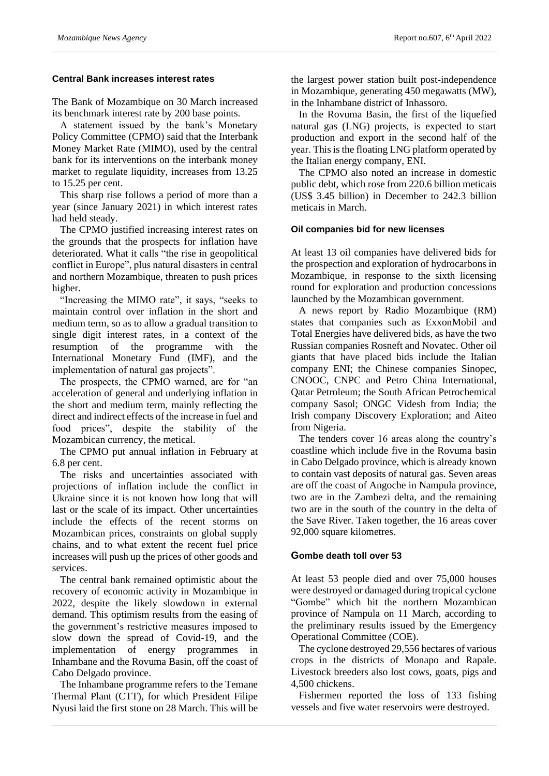#### **Central Bank increases interest rates**

The Bank of Mozambique on 30 March increased its benchmark interest rate by 200 base points.

A statement issued by the bank's Monetary Policy Committee (CPMO) said that the Interbank Money Market Rate (MIMO), used by the central bank for its interventions on the interbank money market to regulate liquidity, increases from 13.25 to 15.25 per cent.

This sharp rise follows a period of more than a year (since January 2021) in which interest rates had held steady.

The CPMO justified increasing interest rates on the grounds that the prospects for inflation have deteriorated. What it calls "the rise in geopolitical conflict in Europe", plus natural disasters in central and northern Mozambique, threaten to push prices higher.

"Increasing the MIMO rate", it says, "seeks to maintain control over inflation in the short and medium term, so as to allow a gradual transition to single digit interest rates, in a context of the resumption of the programme with the International Monetary Fund (IMF), and the implementation of natural gas projects".

The prospects, the CPMO warned, are for "an acceleration of general and underlying inflation in the short and medium term, mainly reflecting the direct and indirect effects of the increase in fuel and food prices", despite the stability of the Mozambican currency, the metical.

The CPMO put annual inflation in February at 6.8 per cent.

The risks and uncertainties associated with projections of inflation include the conflict in Ukraine since it is not known how long that will last or the scale of its impact. Other uncertainties include the effects of the recent storms on Mozambican prices, constraints on global supply chains, and to what extent the recent fuel price increases will push up the prices of other goods and services.

The central bank remained optimistic about the recovery of economic activity in Mozambique in 2022, despite the likely slowdown in external demand. This optimism results from the easing of the government's restrictive measures imposed to slow down the spread of Covid-19, and the implementation of energy programmes in Inhambane and the Rovuma Basin, off the coast of Cabo Delgado province.

The Inhambane programme refers to the Temane Thermal Plant (CTT), for which President Filipe Nyusi laid the first stone on 28 March. This will be

the largest power station built post-independence in Mozambique, generating 450 megawatts (MW), in the Inhambane district of Inhassoro.

In the Rovuma Basin, the first of the liquefied natural gas (LNG) projects, is expected to start production and export in the second half of the year. This is the floating LNG platform operated by the Italian energy company, ENI.

The CPMO also noted an increase in domestic public debt, which rose from 220.6 billion meticais (US\$ 3.45 billion) in December to 242.3 billion meticais in March.

#### **Oil companies bid for new licenses**

At least 13 oil companies have delivered bids for the prospection and exploration of hydrocarbons in Mozambique, in response to the sixth licensing round for exploration and production concessions launched by the Mozambican government.

A news report by Radio Mozambique (RM) states that companies such as ExxonMobil and Total Energies have delivered bids, as have the two Russian companies Rosneft and Novatec. Other oil giants that have placed bids include the Italian company ENI; the Chinese companies Sinopec, CNOOC, CNPC and Petro China International, Qatar Petroleum; the South African Petrochemical company Sasol; ONGC Videsh from India; the Irish company Discovery Exploration; and Aiteo from Nigeria.

The tenders cover 16 areas along the country's coastline which include five in the Rovuma basin in Cabo Delgado province, which is already known to contain vast deposits of natural gas. Seven areas are off the coast of Angoche in Nampula province, two are in the Zambezi delta, and the remaining two are in the south of the country in the delta of the Save River. Taken together, the 16 areas cover 92,000 square kilometres.

#### **Gombe death toll over 53**

At least 53 people died and over 75,000 houses were destroyed or damaged during tropical cyclone "Gombe" which hit the northern Mozambican province of Nampula on 11 March, according to the preliminary results issued by the Emergency Operational Committee (COE).

The cyclone destroyed 29,556 hectares of various crops in the districts of Monapo and Rapale. Livestock breeders also lost cows, goats, pigs and 4,500 chickens.

Fishermen reported the loss of 133 fishing vessels and five water reservoirs were destroyed.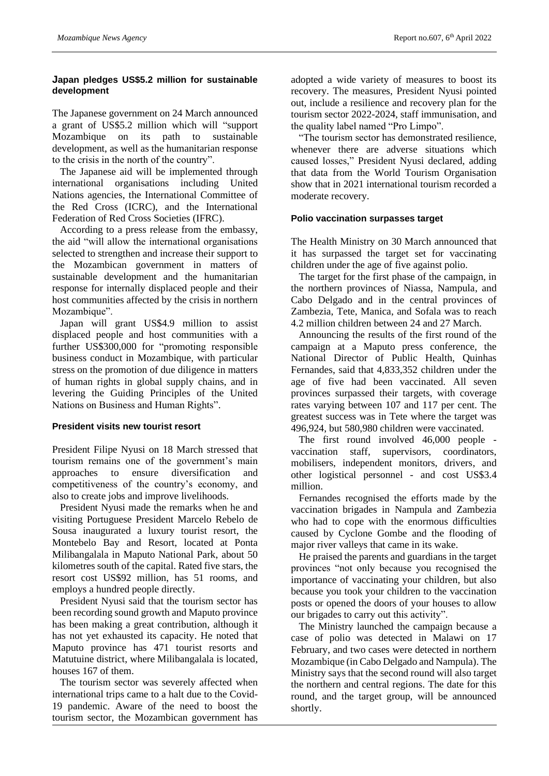### **Japan pledges US\$5.2 million for sustainable development**

The Japanese government on 24 March announced a grant of US\$5.2 million which will "support Mozambique on its path to sustainable development, as well as the humanitarian response to the crisis in the north of the country".

The Japanese aid will be implemented through international organisations including United Nations agencies, the International Committee of the Red Cross (ICRC), and the International Federation of Red Cross Societies (IFRC).

According to a press release from the embassy, the aid "will allow the international organisations selected to strengthen and increase their support to the Mozambican government in matters of sustainable development and the humanitarian response for internally displaced people and their host communities affected by the crisis in northern Mozambique".

Japan will grant US\$4.9 million to assist displaced people and host communities with a further US\$300,000 for "promoting responsible business conduct in Mozambique, with particular stress on the promotion of due diligence in matters of human rights in global supply chains, and in levering the Guiding Principles of the United Nations on Business and Human Rights".

#### **President visits new tourist resort**

President Filipe Nyusi on 18 March stressed that tourism remains one of the government's main approaches to ensure diversification and competitiveness of the country's economy, and also to create jobs and improve livelihoods.

President Nyusi made the remarks when he and visiting Portuguese President Marcelo Rebelo de Sousa inaugurated a luxury tourist resort, the Montebelo Bay and Resort, located at Ponta Milibangalala in Maputo National Park, about 50 kilometres south of the capital. Rated five stars, the resort cost US\$92 million, has 51 rooms, and employs a hundred people directly.

President Nyusi said that the tourism sector has been recording sound growth and Maputo province has been making a great contribution, although it has not yet exhausted its capacity. He noted that Maputo province has 471 tourist resorts and Matutuine district, where Milibangalala is located, houses 167 of them.

The tourism sector was severely affected when international trips came to a halt due to the Covid-19 pandemic. Aware of the need to boost the tourism sector, the Mozambican government has adopted a wide variety of measures to boost its recovery. The measures, President Nyusi pointed out, include a resilience and recovery plan for the tourism sector 2022-2024, staff immunisation, and the quality label named "Pro Limpo".

"The tourism sector has demonstrated resilience, whenever there are adverse situations which caused losses," President Nyusi declared, adding that data from the World Tourism Organisation show that in 2021 international tourism recorded a moderate recovery.

# **Polio vaccination surpasses target**

The Health Ministry on 30 March announced that it has surpassed the target set for vaccinating children under the age of five against polio.

The target for the first phase of the campaign, in the northern provinces of Niassa, Nampula, and Cabo Delgado and in the central provinces of Zambezia, Tete, Manica, and Sofala was to reach 4.2 million children between 24 and 27 March.

Announcing the results of the first round of the campaign at a Maputo press conference, the National Director of Public Health, Quinhas Fernandes, said that 4,833,352 children under the age of five had been vaccinated. All seven provinces surpassed their targets, with coverage rates varying between 107 and 117 per cent. The greatest success was in Tete where the target was 496,924, but 580,980 children were vaccinated.

The first round involved 46,000 people vaccination staff, supervisors, coordinators, mobilisers, independent monitors, drivers, and other logistical personnel - and cost US\$3.4 million.

Fernandes recognised the efforts made by the vaccination brigades in Nampula and Zambezia who had to cope with the enormous difficulties caused by Cyclone Gombe and the flooding of major river valleys that came in its wake.

He praised the parents and guardians in the target provinces "not only because you recognised the importance of vaccinating your children, but also because you took your children to the vaccination posts or opened the doors of your houses to allow our brigades to carry out this activity".

The Ministry launched the campaign because a case of polio was detected in Malawi on 17 February, and two cases were detected in northern Mozambique (in Cabo Delgado and Nampula). The Ministry says that the second round will also target the northern and central regions. The date for this round, and the target group, will be announced shortly.